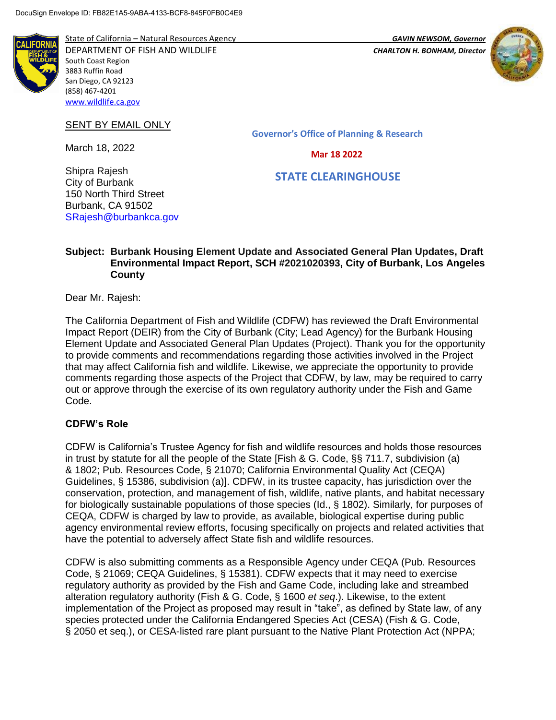

State of California – Natural Resources Agency *GAVIN NEWSOM, Governor* DEPARTMENT OF FISH AND WILDLIFE *CHARLTON H. BONHAM, Director*  South Coast Region 3883 Ruffin Road San Diego, CA 92123 (858) 467-4201 [www.wildlife.ca.gov](http://www.wildlife.ca.gov/)



SENT BY EMAIL ONLY

March 18, 2022

Shipra Rajesh

**Governor's Office of Planning & Research**

 **Mar 18 2022**

 **STATE CLEARINGHOUSE**

City of Burbank 150 North Third Street Burbank, CA 91502 [SRajesh@burbankca.gov](mailto:SRajesh@burbankca.gov)

#### **Subject: Burbank Housing Element Update and Associated General Plan Updates, Draft Environmental Impact Report, SCH #2021020393, City of Burbank, Los Angeles County**

Dear Mr. Rajesh:

The California Department of Fish and Wildlife (CDFW) has reviewed the Draft Environmental Impact Report (DEIR) from the City of Burbank (City; Lead Agency) for the Burbank Housing Element Update and Associated General Plan Updates (Project). Thank you for the opportunity to provide comments and recommendations regarding those activities involved in the Project that may affect California fish and wildlife. Likewise, we appreciate the opportunity to provide comments regarding those aspects of the Project that CDFW, by law, may be required to carry out or approve through the exercise of its own regulatory authority under the Fish and Game Code.

#### **CDFW's Role**

CDFW is California's Trustee Agency for fish and wildlife resources and holds those resources in trust by statute for all the people of the State [Fish & G. Code, §§ 711.7, subdivision (a) & 1802; Pub. Resources Code, § 21070; California Environmental Quality Act (CEQA) Guidelines, § 15386, subdivision (a)]. CDFW, in its trustee capacity, has jurisdiction over the conservation, protection, and management of fish, wildlife, native plants, and habitat necessary for biologically sustainable populations of those species (Id., § 1802). Similarly, for purposes of CEQA, CDFW is charged by law to provide, as available, biological expertise during public agency environmental review efforts, focusing specifically on projects and related activities that have the potential to adversely affect State fish and wildlife resources.

CDFW is also submitting comments as a Responsible Agency under CEQA (Pub. Resources Code, § 21069; CEQA Guidelines, § 15381). CDFW expects that it may need to exercise regulatory authority as provided by the Fish and Game Code, including lake and streambed alteration regulatory authority (Fish & G. Code, § 1600 *et seq*.). Likewise, to the extent implementation of the Project as proposed may result in "take", as defined by State law, of any species protected under the California Endangered Species Act (CESA) (Fish & G. Code, § 2050 et seq.), or CESA-listed rare plant pursuant to the Native Plant Protection Act (NPPA;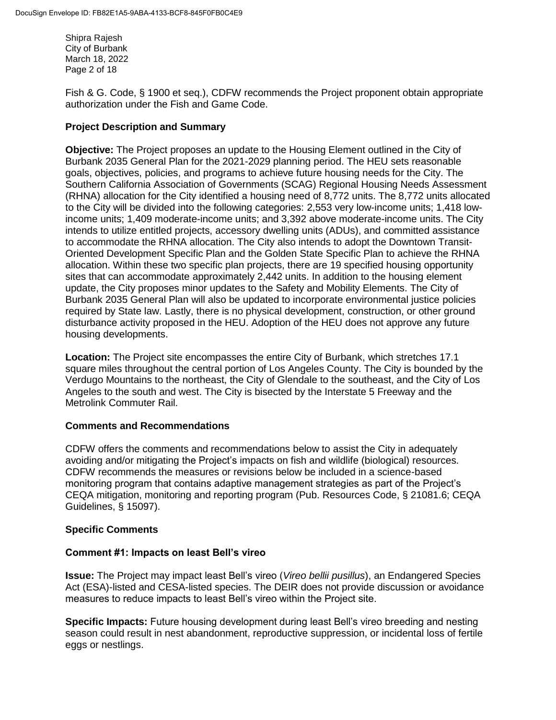Shipra Rajesh City of Burbank March 18, 2022 Page 2 of 18

Fish & G. Code, § 1900 et seq.), CDFW recommends the Project proponent obtain appropriate authorization under the Fish and Game Code.

### **Project Description and Summary**

**Objective:** The Project proposes an update to the Housing Element outlined in the City of Burbank 2035 General Plan for the 2021-2029 planning period. The HEU sets reasonable goals, objectives, policies, and programs to achieve future housing needs for the City. The Southern California Association of Governments (SCAG) Regional Housing Needs Assessment (RHNA) allocation for the City identified a housing need of 8,772 units. The 8,772 units allocated to the City will be divided into the following categories: 2,553 very low-income units; 1,418 lowincome units; 1,409 moderate-income units; and 3,392 above moderate-income units. The City intends to utilize entitled projects, accessory dwelling units (ADUs), and committed assistance to accommodate the RHNA allocation. The City also intends to adopt the Downtown Transit-Oriented Development Specific Plan and the Golden State Specific Plan to achieve the RHNA allocation. Within these two specific plan projects, there are 19 specified housing opportunity sites that can accommodate approximately 2,442 units. In addition to the housing element update, the City proposes minor updates to the Safety and Mobility Elements. The City of Burbank 2035 General Plan will also be updated to incorporate environmental justice policies required by State law. Lastly, there is no physical development, construction, or other ground disturbance activity proposed in the HEU. Adoption of the HEU does not approve any future housing developments.

**Location:** The Project site encompasses the entire City of Burbank, which stretches 17.1 square miles throughout the central portion of Los Angeles County. The City is bounded by the Verdugo Mountains to the northeast, the City of Glendale to the southeast, and the City of Los Angeles to the south and west. The City is bisected by the Interstate 5 Freeway and the Metrolink Commuter Rail.

#### **Comments and Recommendations**

CDFW offers the comments and recommendations below to assist the City in adequately avoiding and/or mitigating the Project's impacts on fish and wildlife (biological) resources. CDFW recommends the measures or revisions below be included in a science-based monitoring program that contains adaptive management strategies as part of the Project's CEQA mitigation, monitoring and reporting program (Pub. Resources Code, § 21081.6; CEQA Guidelines, § 15097).

#### **Specific Comments**

#### **Comment #1: Impacts on least Bell's vireo**

**Issue:** The Project may impact least Bell's vireo (*Vireo bellii pusillus*), an Endangered Species Act (ESA)-listed and CESA-listed species. The DEIR does not provide discussion or avoidance measures to reduce impacts to least Bell's vireo within the Project site.

**Specific Impacts:** Future housing development during least Bell's vireo breeding and nesting season could result in nest abandonment, reproductive suppression, or incidental loss of fertile eggs or nestlings.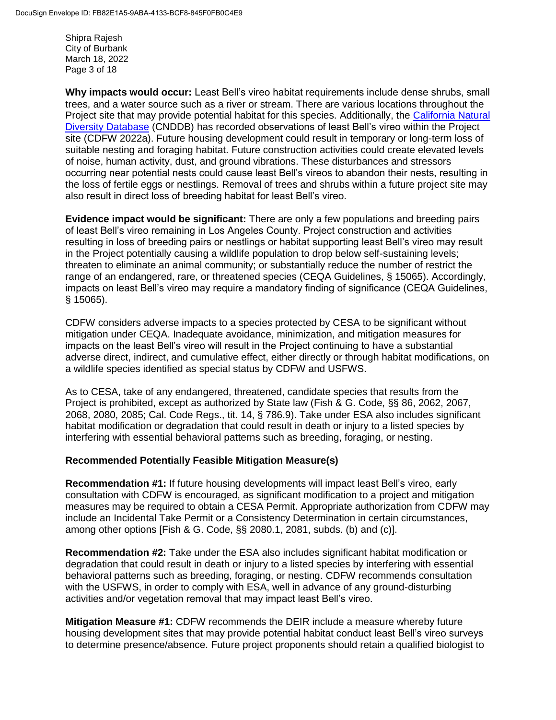Shipra Rajesh City of Burbank March 18, 2022 Page 3 of 18

**Why impacts would occur:** Least Bell's vireo habitat requirements include dense shrubs, small trees, and a water source such as a river or stream. There are various locations throughout the Project site that may provide potential habitat for this species. Additionally, the [California Natural](https://wildlife.ca.gov/Data/CNDDB/Maps-and-Data)  [Diversity Database](https://wildlife.ca.gov/Data/CNDDB/Maps-and-Data) (CNDDB) has recorded observations of least Bell's vireo within the Project site (CDFW 2022a). Future housing development could result in temporary or long-term loss of suitable nesting and foraging habitat. Future construction activities could create elevated levels of noise, human activity, dust, and ground vibrations. These disturbances and stressors occurring near potential nests could cause least Bell's vireos to abandon their nests, resulting in the loss of fertile eggs or nestlings. Removal of trees and shrubs within a future project site may also result in direct loss of breeding habitat for least Bell's vireo.

**Evidence impact would be significant:** There are only a few populations and breeding pairs of least Bell's vireo remaining in Los Angeles County. Project construction and activities resulting in loss of breeding pairs or nestlings or habitat supporting least Bell's vireo may result in the Project potentially causing a wildlife population to drop below self-sustaining levels; threaten to eliminate an animal community; or substantially reduce the number of restrict the range of an endangered, rare, or threatened species (CEQA Guidelines, § 15065). Accordingly, impacts on least Bell's vireo may require a mandatory finding of significance (CEQA Guidelines, § 15065).

CDFW considers adverse impacts to a species protected by CESA to be significant without mitigation under CEQA. Inadequate avoidance, minimization, and mitigation measures for impacts on the least Bell's vireo will result in the Project continuing to have a substantial adverse direct, indirect, and cumulative effect, either directly or through habitat modifications, on a wildlife species identified as special status by CDFW and USFWS.

As to CESA, take of any endangered, threatened, candidate species that results from the Project is prohibited, except as authorized by State law (Fish & G. Code, §§ 86, 2062, 2067, 2068, 2080, 2085; Cal. Code Regs., tit. 14, § 786.9). Take under ESA also includes significant habitat modification or degradation that could result in death or injury to a listed species by interfering with essential behavioral patterns such as breeding, foraging, or nesting.

#### **Recommended Potentially Feasible Mitigation Measure(s)**

**Recommendation #1:** If future housing developments will impact least Bell's vireo, early consultation with CDFW is encouraged, as significant modification to a project and mitigation measures may be required to obtain a CESA Permit. Appropriate authorization from CDFW may include an Incidental Take Permit or a Consistency Determination in certain circumstances, among other options [Fish & G. Code, §§ 2080.1, 2081, subds. (b) and (c)].

**Recommendation #2:** Take under the ESA also includes significant habitat modification or degradation that could result in death or injury to a listed species by interfering with essential behavioral patterns such as breeding, foraging, or nesting. CDFW recommends consultation with the USFWS, in order to comply with ESA, well in advance of any ground-disturbing activities and/or vegetation removal that may impact least Bell's vireo.

**Mitigation Measure #1:** CDFW recommends the DEIR include a measure whereby future housing development sites that may provide potential habitat conduct least Bell's vireo surveys to determine presence/absence. Future project proponents should retain a qualified biologist to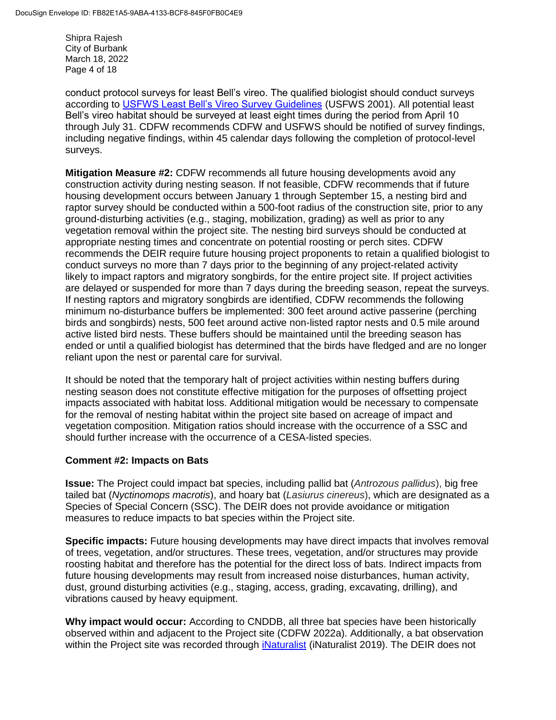Shipra Rajesh City of Burbank March 18, 2022 Page 4 of 18

conduct protocol surveys for least Bell's vireo. The qualified biologist should conduct surveys according to [USFWS Least Bell's Vireo Survey Guidelines](https://www.fws.gov/ventura/docs/species/protocols/lbv/leastbellsvireo_survey-guidelines.pdf) (USFWS 2001). All potential least Bell's vireo habitat should be surveyed at least eight times during the period from April 10 through July 31. CDFW recommends CDFW and USFWS should be notified of survey findings, including negative findings, within 45 calendar days following the completion of protocol-level surveys.

**Mitigation Measure #2:** CDFW recommends all future housing developments avoid any construction activity during nesting season. If not feasible, CDFW recommends that if future housing development occurs between January 1 through September 15, a nesting bird and raptor survey should be conducted within a 500-foot radius of the construction site, prior to any ground-disturbing activities (e.g., staging, mobilization, grading) as well as prior to any vegetation removal within the project site. The nesting bird surveys should be conducted at appropriate nesting times and concentrate on potential roosting or perch sites. CDFW recommends the DEIR require future housing project proponents to retain a qualified biologist to conduct surveys no more than 7 days prior to the beginning of any project-related activity likely to impact raptors and migratory songbirds, for the entire project site. If project activities are delayed or suspended for more than 7 days during the breeding season, repeat the surveys. If nesting raptors and migratory songbirds are identified, CDFW recommends the following minimum no-disturbance buffers be implemented: 300 feet around active passerine (perching birds and songbirds) nests, 500 feet around active non-listed raptor nests and 0.5 mile around active listed bird nests. These buffers should be maintained until the breeding season has ended or until a qualified biologist has determined that the birds have fledged and are no longer reliant upon the nest or parental care for survival.

It should be noted that the temporary halt of project activities within nesting buffers during nesting season does not constitute effective mitigation for the purposes of offsetting project impacts associated with habitat loss. Additional mitigation would be necessary to compensate for the removal of nesting habitat within the project site based on acreage of impact and vegetation composition. Mitigation ratios should increase with the occurrence of a SSC and should further increase with the occurrence of a CESA-listed species.

#### **Comment #2: Impacts on Bats**

**Issue:** The Project could impact bat species, including pallid bat (*Antrozous pallidus*), big free tailed bat (*Nyctinomops macrotis*), and hoary bat (*Lasiurus cinereus*), which are designated as a Species of Special Concern (SSC). The DEIR does not provide avoidance or mitigation measures to reduce impacts to bat species within the Project site.

**Specific impacts:** Future housing developments may have direct impacts that involves removal of trees, vegetation, and/or structures. These trees, vegetation, and/or structures may provide roosting habitat and therefore has the potential for the direct loss of bats. Indirect impacts from future housing developments may result from increased noise disturbances, human activity, dust, ground disturbing activities (e.g., staging, access, grading, excavating, drilling), and vibrations caused by heavy equipment.

**Why impact would occur:** According to CNDDB, all three bat species have been historically observed within and adjacent to the Project site (CDFW 2022a). Additionally, a bat observation within the Project site was recorded through *iNaturalist* (iNaturalist 2019). The DEIR does not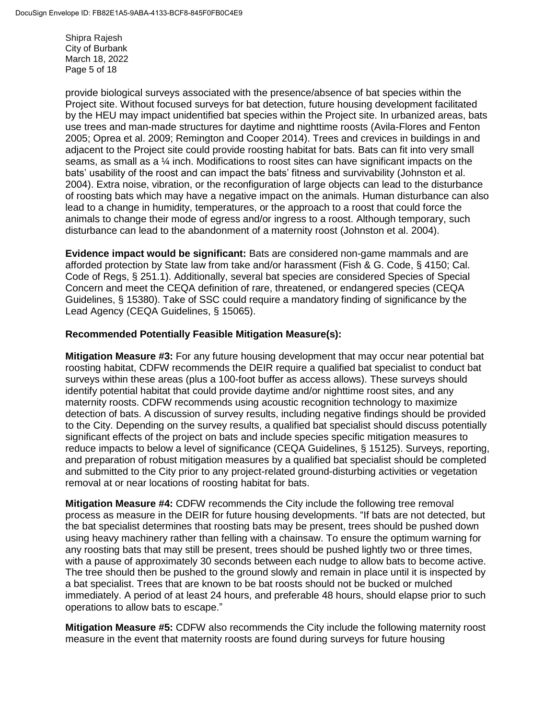Shipra Rajesh City of Burbank March 18, 2022 Page 5 of 18

provide biological surveys associated with the presence/absence of bat species within the Project site. Without focused surveys for bat detection, future housing development facilitated by the HEU may impact unidentified bat species within the Project site. In urbanized areas, bats use trees and man-made structures for daytime and nighttime roosts (Avila-Flores and Fenton 2005; Oprea et al. 2009; Remington and Cooper 2014). Trees and crevices in buildings in and adjacent to the Project site could provide roosting habitat for bats. Bats can fit into very small seams, as small as a  $\frac{1}{4}$  inch. Modifications to roost sites can have significant impacts on the bats' usability of the roost and can impact the bats' fitness and survivability (Johnston et al. 2004). Extra noise, vibration, or the reconfiguration of large objects can lead to the disturbance of roosting bats which may have a negative impact on the animals. Human disturbance can also lead to a change in humidity, temperatures, or the approach to a roost that could force the animals to change their mode of egress and/or ingress to a roost. Although temporary, such disturbance can lead to the abandonment of a maternity roost (Johnston et al. 2004).

**Evidence impact would be significant:** Bats are considered non-game mammals and are afforded protection by State law from take and/or harassment (Fish & G. Code, § 4150; Cal. Code of Regs, § 251.1). Additionally, several bat species are considered Species of Special Concern and meet the CEQA definition of rare, threatened, or endangered species (CEQA Guidelines, § 15380). Take of SSC could require a mandatory finding of significance by the Lead Agency (CEQA Guidelines, § 15065).

#### **Recommended Potentially Feasible Mitigation Measure(s):**

**Mitigation Measure #3:** For any future housing development that may occur near potential bat roosting habitat, CDFW recommends the DEIR require a qualified bat specialist to conduct bat surveys within these areas (plus a 100-foot buffer as access allows). These surveys should identify potential habitat that could provide daytime and/or nighttime roost sites, and any maternity roosts. CDFW recommends using acoustic recognition technology to maximize detection of bats. A discussion of survey results, including negative findings should be provided to the City. Depending on the survey results, a qualified bat specialist should discuss potentially significant effects of the project on bats and include species specific mitigation measures to reduce impacts to below a level of significance (CEQA Guidelines, § 15125). Surveys, reporting, and preparation of robust mitigation measures by a qualified bat specialist should be completed and submitted to the City prior to any project-related ground-disturbing activities or vegetation removal at or near locations of roosting habitat for bats.

**Mitigation Measure #4:** CDFW recommends the City include the following tree removal process as measure in the DEIR for future housing developments. "If bats are not detected, but the bat specialist determines that roosting bats may be present, trees should be pushed down using heavy machinery rather than felling with a chainsaw. To ensure the optimum warning for any roosting bats that may still be present, trees should be pushed lightly two or three times, with a pause of approximately 30 seconds between each nudge to allow bats to become active. The tree should then be pushed to the ground slowly and remain in place until it is inspected by a bat specialist. Trees that are known to be bat roosts should not be bucked or mulched immediately. A period of at least 24 hours, and preferable 48 hours, should elapse prior to such operations to allow bats to escape."

**Mitigation Measure #5:** CDFW also recommends the City include the following maternity roost measure in the event that maternity roosts are found during surveys for future housing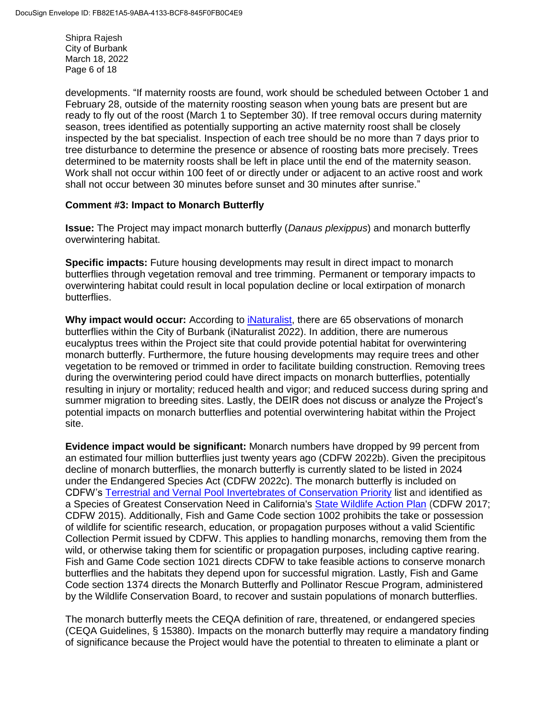Shipra Rajesh City of Burbank March 18, 2022 Page 6 of 18

developments. "If maternity roosts are found, work should be scheduled between October 1 and February 28, outside of the maternity roosting season when young bats are present but are ready to fly out of the roost (March 1 to September 30). If tree removal occurs during maternity season, trees identified as potentially supporting an active maternity roost shall be closely inspected by the bat specialist. Inspection of each tree should be no more than 7 days prior to tree disturbance to determine the presence or absence of roosting bats more precisely. Trees determined to be maternity roosts shall be left in place until the end of the maternity season. Work shall not occur within 100 feet of or directly under or adjacent to an active roost and work shall not occur between 30 minutes before sunset and 30 minutes after sunrise."

#### **Comment #3: Impact to Monarch Butterfly**

**Issue:** The Project may impact monarch butterfly (*Danaus plexippus*) and monarch butterfly overwintering habitat.

**Specific impacts:** Future housing developments may result in direct impact to monarch butterflies through vegetation removal and tree trimming. Permanent or temporary impacts to overwintering habitat could result in local population decline or local extirpation of monarch butterflies.

Why impact would occur: According to *iNaturalist*, there are 65 observations of monarch butterflies within the City of Burbank (iNaturalist 2022). In addition, there are numerous eucalyptus trees within the Project site that could provide potential habitat for overwintering monarch butterfly. Furthermore, the future housing developments may require trees and other vegetation to be removed or trimmed in order to facilitate building construction. Removing trees during the overwintering period could have direct impacts on monarch butterflies, potentially resulting in injury or mortality; reduced health and vigor; and reduced success during spring and summer migration to breeding sites. Lastly, the DEIR does not discuss or analyze the Project's potential impacts on monarch butterflies and potential overwintering habitat within the Project site.

**Evidence impact would be significant:** Monarch numbers have dropped by 99 percent from an estimated four million butterflies just twenty years ago (CDFW 2022b). Given the precipitous decline of monarch butterflies, the monarch butterfly is currently slated to be listed in 2024 under the Endangered Species Act (CDFW 2022c). The monarch butterfly is included on CDFW's [Terrestrial and Vernal Pool Invertebrates of Conservation Priority](https://nrm.dfg.ca.gov/FileHandler.ashx?DocumentID=149499&inline) list and identified as a Species of Greatest Conservation Need in California's [State Wildlife Action Plan](https://wildlife.ca.gov/SWAP/Final) (CDFW 2017; CDFW 2015). Additionally, Fish and Game Code section 1002 prohibits the take or possession of wildlife for scientific research, education, or propagation purposes without a valid Scientific Collection Permit issued by CDFW. This applies to handling monarchs, removing them from the wild, or otherwise taking them for scientific or propagation purposes, including captive rearing. Fish and Game Code section 1021 directs CDFW to take feasible actions to conserve monarch butterflies and the habitats they depend upon for successful migration. Lastly, Fish and Game Code section 1374 directs the Monarch Butterfly and Pollinator Rescue Program, administered by the Wildlife Conservation Board, to recover and sustain populations of monarch butterflies.

The monarch butterfly meets the CEQA definition of rare, threatened, or endangered species (CEQA Guidelines, § 15380). Impacts on the monarch butterfly may require a mandatory finding of significance because the Project would have the potential to threaten to eliminate a plant or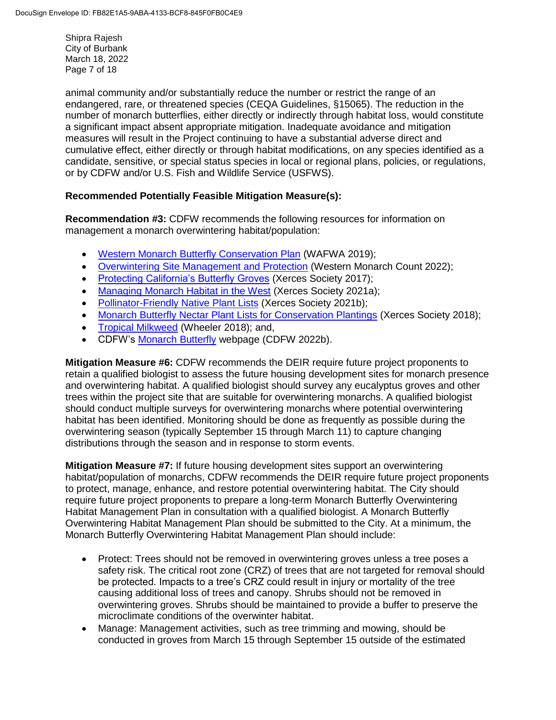Shipra Rajesh City of Burbank March 18, 2022 Page 7 of 18

animal community and/or substantially reduce the number or restrict the range of an endangered, rare, or threatened species (CEQA Guidelines, §15065). The reduction in the number of monarch butterflies, either directly or indirectly through habitat loss, would constitute a significant impact absent appropriate mitigation. Inadequate avoidance and mitigation measures will result in the Project continuing to have a substantial adverse direct and cumulative effect, either directly or through habitat modifications, on any species identified as a candidate, sensitive, or special status species in local or regional plans, policies, or regulations, or by CDFW and/or U.S. Fish and Wildlife Service (USFWS).

## **Recommended Potentially Feasible Mitigation Measure(s):**

**Recommendation #3:** CDFW recommends the following resources for information on management a monarch overwintering habitat/population:

- [Western Monarch Butterfly Conservation Plan](https://wafwa.org/wpdm-package/western-monarch-butterfly-conservation-plan-2019-2069/?ind=1602171186650&filename=WAFWA_Monarch_Conservation_Plan.pdf&wpdmdl=13048&refresh=60f9defee81e21626988286) (WAFWA 2019);
- [Overwintering Site Management and Protection](https://www.westernmonarchcount.org/overwintering-site-management-and-protection/) (Western Monarch Count 2022);
- [Protecting California's Butterfly Groves](https://www.westernmonarchcount.org/wp-content/uploads/2014/11/2017-040_ProtectingCaliforniaButterflyGroves.pdf) (Xerces Society 2017);
- [Managing Monarch Habitat in the West](https://xerces.org/monarchs/western-monarch-conservation/habitat) (Xerces Society 2021a);
- [Pollinator-Friendly Native Plant Lists](https://xerces.org/pollinator-conservation/pollinator-friendly-plant-lists) (Xerces Society 2021b);
- [Monarch Butterfly Nectar Plant Lists for Conservation Plantings](https://xerces.org/sites/default/files/publications/18-003_02_Monarch-Nectar-Plant-Lists-FS_web%20-%20Jessa%20Kay%20Cruz.pdf) (Xerces Society 2018);
- [Tropical Milkweed](https://xerces.org/blog/tropical-milkweed-a-no-grow) (Wheeler 2018); and,
- CDFW's [Monarch Butterfly](https://wildlife.ca.gov/Conservation/Invertebrates/Monarch-Butterfly) webpage (CDFW 2022b).

**Mitigation Measure #6:** CDFW recommends the DEIR require future project proponents to retain a qualified biologist to assess the future housing development sites for monarch presence and overwintering habitat. A qualified biologist should survey any eucalyptus groves and other trees within the project site that are suitable for overwintering monarchs. A qualified biologist should conduct multiple surveys for overwintering monarchs where potential overwintering habitat has been identified. Monitoring should be done as frequently as possible during the overwintering season (typically September 15 through March 11) to capture changing distributions through the season and in response to storm events.

**Mitigation Measure #7:** If future housing development sites support an overwintering habitat/population of monarchs, CDFW recommends the DEIR require future project proponents to protect, manage, enhance, and restore potential overwintering habitat. The City should require future project proponents to prepare a long-term Monarch Butterfly Overwintering Habitat Management Plan in consultation with a qualified biologist. A Monarch Butterfly Overwintering Habitat Management Plan should be submitted to the City. At a minimum, the Monarch Butterfly Overwintering Habitat Management Plan should include:

- Protect: Trees should not be removed in overwintering groves unless a tree poses a safety risk. The critical root zone (CRZ) of trees that are not targeted for removal should be protected. Impacts to a tree's CRZ could result in injury or mortality of the tree causing additional loss of trees and canopy. Shrubs should not be removed in overwintering groves. Shrubs should be maintained to provide a buffer to preserve the microclimate conditions of the overwinter habitat.
- Manage: Management activities, such as tree trimming and mowing, should be conducted in groves from March 15 through September 15 outside of the estimated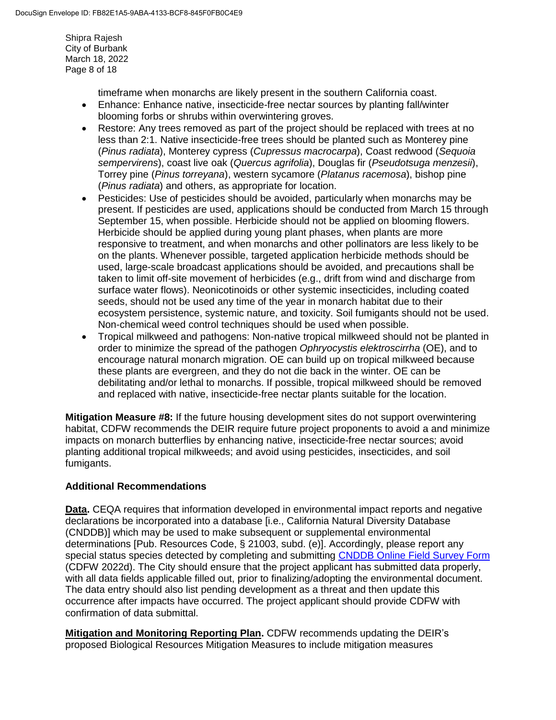Shipra Rajesh City of Burbank March 18, 2022 Page 8 of 18

timeframe when monarchs are likely present in the southern California coast.

- Enhance: Enhance native, insecticide-free nectar sources by planting fall/winter blooming forbs or shrubs within overwintering groves.
- Restore: Any trees removed as part of the project should be replaced with trees at no less than 2:1. Native insecticide-free trees should be planted such as Monterey pine (*Pinus radiata*), Monterey cypress (*Cupressus macrocarpa*), Coast redwood (*Sequoia sempervirens*), coast live oak (*Quercus agrifolia*), Douglas fir (*Pseudotsuga menzesii*), Torrey pine (*Pinus torreyana*), western sycamore (*Platanus racemosa*), bishop pine (*Pinus radiata*) and others, as appropriate for location.
- Pesticides: Use of pesticides should be avoided, particularly when monarchs may be present. If pesticides are used, applications should be conducted from March 15 through September 15, when possible. Herbicide should not be applied on blooming flowers. Herbicide should be applied during young plant phases, when plants are more responsive to treatment, and when monarchs and other pollinators are less likely to be on the plants. Whenever possible, targeted application herbicide methods should be used, large-scale broadcast applications should be avoided, and precautions shall be taken to limit off-site movement of herbicides (e.g., drift from wind and discharge from surface water flows). Neonicotinoids or other systemic insecticides, including coated seeds, should not be used any time of the year in monarch habitat due to their ecosystem persistence, systemic nature, and toxicity. Soil fumigants should not be used. Non-chemical weed control techniques should be used when possible.
- Tropical milkweed and pathogens: Non-native tropical milkweed should not be planted in order to minimize the spread of the pathogen *Ophryocystis elektroscirrha* (OE), and to encourage natural monarch migration. OE can build up on tropical milkweed because these plants are evergreen, and they do not die back in the winter. OE can be debilitating and/or lethal to monarchs. If possible, tropical milkweed should be removed and replaced with native, insecticide-free nectar plants suitable for the location.

**Mitigation Measure #8:** If the future housing development sites do not support overwintering habitat, CDFW recommends the DEIR require future project proponents to avoid a and minimize impacts on monarch butterflies by enhancing native, insecticide-free nectar sources; avoid planting additional tropical milkweeds; and avoid using pesticides, insecticides, and soil fumigants.

#### **Additional Recommendations**

**Data.** CEQA requires that information developed in environmental impact reports and negative declarations be incorporated into a database [i.e., California Natural Diversity Database (CNDDB)] which may be used to make subsequent or supplemental environmental determinations [Pub. Resources Code, § 21003, subd. (e)]. Accordingly, please report any special status species detected by completing and submitting [CNDDB Online Field Survey Form](https://wildlife.ca.gov/Data/CNDDB/Submitting-Data) (CDFW 2022d). The City should ensure that the project applicant has submitted data properly, with all data fields applicable filled out, prior to finalizing/adopting the environmental document. The data entry should also list pending development as a threat and then update this occurrence after impacts have occurred. The project applicant should provide CDFW with confirmation of data submittal.

**Mitigation and Monitoring Reporting Plan.** CDFW recommends updating the DEIR's proposed Biological Resources Mitigation Measures to include mitigation measures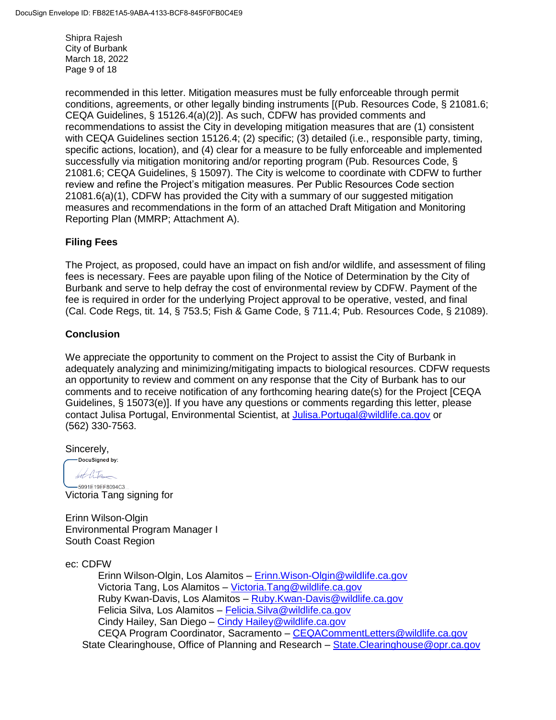Shipra Rajesh City of Burbank March 18, 2022 Page 9 of 18

recommended in this letter. Mitigation measures must be fully enforceable through permit conditions, agreements, or other legally binding instruments [(Pub. Resources Code, § 21081.6; CEQA Guidelines, § 15126.4(a)(2)]. As such, CDFW has provided comments and recommendations to assist the City in developing mitigation measures that are (1) consistent with CEQA Guidelines section 15126.4; (2) specific; (3) detailed (i.e., responsible party, timing, specific actions, location), and (4) clear for a measure to be fully enforceable and implemented successfully via mitigation monitoring and/or reporting program (Pub. Resources Code, § 21081.6; CEQA Guidelines, § 15097). The City is welcome to coordinate with CDFW to further review and refine the Project's mitigation measures. Per Public Resources Code section 21081.6(a)(1), CDFW has provided the City with a summary of our suggested mitigation measures and recommendations in the form of an attached Draft Mitigation and Monitoring Reporting Plan (MMRP; Attachment A).

#### **Filing Fees**

The Project, as proposed, could have an impact on fish and/or wildlife, and assessment of filing fees is necessary. Fees are payable upon filing of the Notice of Determination by the City of Burbank and serve to help defray the cost of environmental review by CDFW. Payment of the fee is required in order for the underlying Project approval to be operative, vested, and final (Cal. Code Regs, tit. 14, § 753.5; Fish & Game Code, § 711.4; Pub. Resources Code, § 21089).

#### **Conclusion**

We appreciate the opportunity to comment on the Project to assist the City of Burbank in adequately analyzing and minimizing/mitigating impacts to biological resources. CDFW requests an opportunity to review and comment on any response that the City of Burbank has to our comments and to receive notification of any forthcoming hearing date(s) for the Project [CEQA Guidelines, § 15073(e)]. If you have any questions or comments regarding this letter, please contact Julisa Portugal, Environmental Scientist, at [Julisa.Portugal@wildlife.ca.gov](mailto:Julisa.Portugal@wildlife.ca.gov) or (562) 330-7563.

Sincerely,<br>
Sincerely,

hot litr

-5991E19EF8094C3... Victoria Tang signing for

Erinn Wilson-Olgin Environmental Program Manager I South Coast Region

ec: CDFW

Erinn Wilson-Olgin, Los Alamitos – [Erinn.Wison-Olgin@wildlife.ca.gov](mailto:Erinn.Wison-Olgin@wildlife.ca.gov) Victoria Tang, Los Alamitos – [Victoria.Tang@wildlife.ca.gov](mailto:Victoria.Tang@wildlife.ca.gov) Ruby Kwan-Davis, Los Alamitos – [Ruby.Kwan-Davis@wildlife.ca.gov](mailto:Ruby.Kwan-Davis@wildlife.ca.gov) Felicia Silva, Los Alamitos - Felicia. Silva@wildlife.ca.gov Cindy Hailey, San Diego – [Cindy Hailey@wildlife.ca.gov](mailto:Cindy%20Hailey@wildlife.ca.gov) CEQA Program Coordinator, Sacramento – [CEQACommentLetters@wildlife.ca.gov](mailto:CEQACommentLetters@wildlife.ca.gov)  State Clearinghouse, Office of Planning and Research – [State.Clearinghouse@opr.ca.gov](mailto:State.Clearinghouse@opr.ca.gov)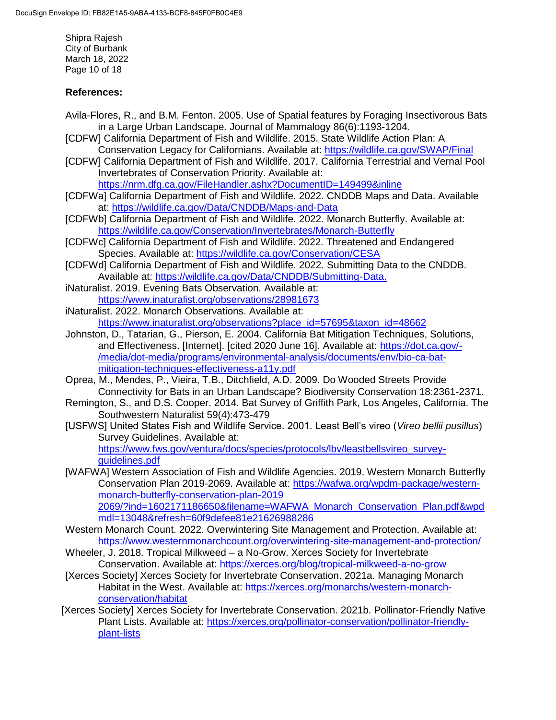Shipra Rajesh City of Burbank March 18, 2022 Page 10 of 18

### **References:**

- Avila-Flores, R., and B.M. Fenton. 2005. Use of Spatial features by Foraging Insectivorous Bats in a Large Urban Landscape. Journal of Mammalogy 86(6):1193-1204.
- [CDFW] California Department of Fish and Wildlife. 2015. State Wildlife Action Plan: A Conservation Legacy for Californians. Available at: https://wildlife.ca.gov/SWAP/Final
- [CDFW] California Department of Fish and Wildlife. 2017. California Terrestrial and Vernal Pool Invertebrates of Conservation Priority. Available at:

<https://nrm.dfg.ca.gov/FileHandler.ashx?DocumentID=149499&inline>

- [CDFWa] California Department of Fish and Wildlife. 2022. CNDDB Maps and Data. Available at: <https://wildlife.ca.gov/Data/CNDDB/Maps-and-Data>
- [CDFWb] California Department of Fish and Wildlife. 2022. Monarch Butterfly. Available at: <https://wildlife.ca.gov/Conservation/Invertebrates/Monarch-Butterfly>
- [CDFWc] California Department of Fish and Wildlife. 2022. Threatened and Endangered Species. Available at: <https://wildlife.ca.gov/Conservation/CESA>
- [CDFWd] California Department of Fish and Wildlife. 2022. Submitting Data to the CNDDB. Available at: [https://wildlife.ca.gov/Data/CNDDB/Submitting-Data.](https://wildlife.ca.gov/Data/CNDDB/Submitting-Data)
- iNaturalist. 2019. Evening Bats Observation. Available at: <https://www.inaturalist.org/observations/28981673>
- iNaturalist. 2022. Monarch Observations. Available at: [https://www.inaturalist.org/observations?place\\_id=57695&taxon\\_id=48662](https://www.inaturalist.org/observations?place_id=57695&taxon_id=48662)
- Johnston, D., Tatarian, G., Pierson, E. 2004. California Bat Mitigation Techniques, Solutions, and Effectiveness. [Internet]. [cited 2020 June 16]. Available at: [https://dot.ca.gov/-](https://dot.ca.gov/-/media/dot-media/programs/environmental-analysis/documents/env/bio-ca-bat-mitigation-techniques-effectiveness-a11y.pdf) [/media/dot-media/programs/environmental-analysis/documents/env/bio-ca-bat](https://dot.ca.gov/-/media/dot-media/programs/environmental-analysis/documents/env/bio-ca-bat-mitigation-techniques-effectiveness-a11y.pdf)[mitigation-techniques-effectiveness-a11y.pdf](https://dot.ca.gov/-/media/dot-media/programs/environmental-analysis/documents/env/bio-ca-bat-mitigation-techniques-effectiveness-a11y.pdf)
- Oprea, M., Mendes, P., Vieira, T.B., Ditchfield, A.D. 2009. Do Wooded Streets Provide Connectivity for Bats in an Urban Landscape? Biodiversity Conservation 18:2361-2371.
- Remington, S., and D.S. Cooper. 2014. Bat Survey of Griffith Park, Los Angeles, California. The Southwestern Naturalist 59(4):473-479
- [USFWS] United States Fish and Wildlife Service. 2001. Least Bell's vireo (*Vireo bellii pusillus*) Survey Guidelines. Available at:

[https://www.fws.gov/ventura/docs/species/protocols/lbv/leastbellsvireo\\_survey](https://www.fws.gov/ventura/docs/species/protocols/lbv/leastbellsvireo_survey-guidelines.pdf)[guidelines.pdf](https://www.fws.gov/ventura/docs/species/protocols/lbv/leastbellsvireo_survey-guidelines.pdf)

- [WAFWA] Western Association of Fish and Wildlife Agencies. 2019. Western Monarch Butterfly Conservation Plan 2019-2069. Available at: [https://wafwa.org/wpdm-package/western](https://wafwa.org/wpdm-package/western-monarch-butterfly-conservation-plan-2019%202069/?ind=1602171186650&filename=WAFWA_Monarch_Conservation_Plan.pdf&wpdmdl=13048&refresh=60f9defee81e21626988286)[monarch-butterfly-conservation-plan-2019](https://wafwa.org/wpdm-package/western-monarch-butterfly-conservation-plan-2019%202069/?ind=1602171186650&filename=WAFWA_Monarch_Conservation_Plan.pdf&wpdmdl=13048&refresh=60f9defee81e21626988286)  [2069/?ind=1602171186650&filename=WAFWA\\_Monarch\\_Conservation\\_Plan.pdf&wpd](https://wafwa.org/wpdm-package/western-monarch-butterfly-conservation-plan-2019%202069/?ind=1602171186650&filename=WAFWA_Monarch_Conservation_Plan.pdf&wpdmdl=13048&refresh=60f9defee81e21626988286) [mdl=13048&refresh=60f9defee81e21626988286](https://wafwa.org/wpdm-package/western-monarch-butterfly-conservation-plan-2019%202069/?ind=1602171186650&filename=WAFWA_Monarch_Conservation_Plan.pdf&wpdmdl=13048&refresh=60f9defee81e21626988286)
- Western Monarch Count. 2022. Overwintering Site Management and Protection. Available at: <https://www.westernmonarchcount.org/overwintering-site-management-and-protection/>
- Wheeler, J. 2018. Tropical Milkweed a No-Grow. Xerces Society for Invertebrate Conservation. Available at:<https://xerces.org/blog/tropical-milkweed-a-no-grow>
- [Xerces Society] Xerces Society for Invertebrate Conservation. 2021a. Managing Monarch Habitat in the West. Available at: [https://xerces.org/monarchs/western-monarch](https://xerces.org/monarchs/western-monarch-conservation/habitat)[conservation/habitat](https://xerces.org/monarchs/western-monarch-conservation/habitat)
- [Xerces Society] Xerces Society for Invertebrate Conservation. 2021b. Pollinator-Friendly Native Plant Lists. Available at: [https://xerces.org/pollinator-conservation/pollinator-friendly](https://xerces.org/pollinator-conservation/pollinator-friendly-plant-lists)[plant-lists](https://xerces.org/pollinator-conservation/pollinator-friendly-plant-lists)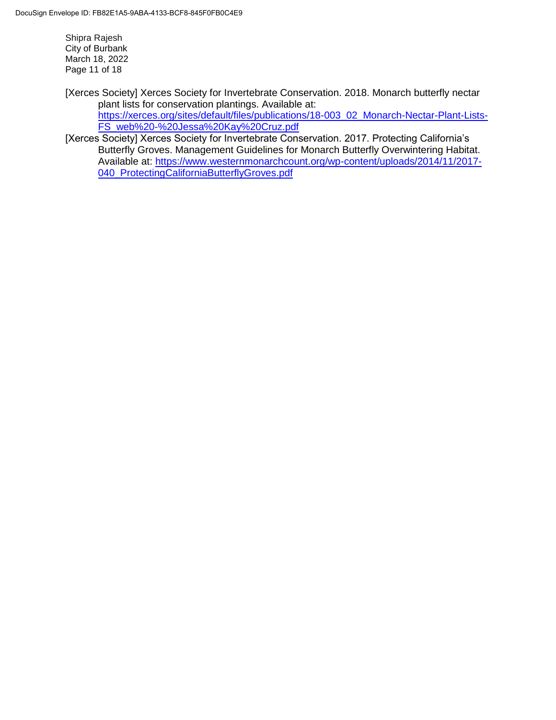Shipra Rajesh City of Burbank March 18, 2022 Page 11 of 18

[Xerces Society] Xerces Society for Invertebrate Conservation. 2018. Monarch butterfly nectar plant lists for conservation plantings. Available at: [https://xerces.org/sites/default/files/publications/18-003\\_02\\_Monarch-Nectar-Plant-Lists-](https://xerces.org/sites/default/files/publications/18-003_02_Monarch-Nectar-Plant-Lists-FS_web%20-%20Jessa%20Kay%20Cruz.pdf)[FS\\_web%20-%20Jessa%20Kay%20Cruz.pdf](https://xerces.org/sites/default/files/publications/18-003_02_Monarch-Nectar-Plant-Lists-FS_web%20-%20Jessa%20Kay%20Cruz.pdf)

[Xerces Society] Xerces Society for Invertebrate Conservation. 2017. Protecting California's Butterfly Groves. Management Guidelines for Monarch Butterfly Overwintering Habitat. Available at: [https://www.westernmonarchcount.org/wp-content/uploads/2014/11/2017-](https://www.westernmonarchcount.org/wp-content/uploads/2014/11/2017-040_ProtectingCaliforniaButterflyGroves.pdf) [040\\_ProtectingCaliforniaButterflyGroves.pdf](https://www.westernmonarchcount.org/wp-content/uploads/2014/11/2017-040_ProtectingCaliforniaButterflyGroves.pdf)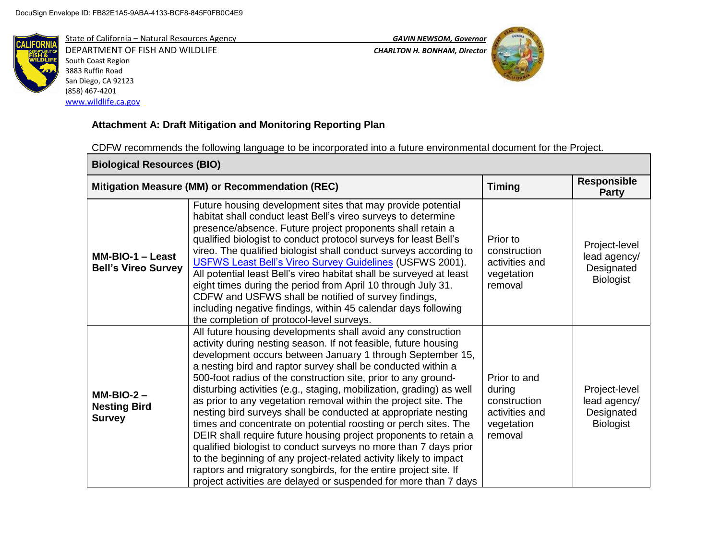

DEPARTMENT OF FISH AND WILDLIFE *CHARLTON H. BONHAM, Director*  South Coast Region 3883 Ruffin Road San Diego, CA 92123 (858) 467-4201 [www.wildlife.ca.gov](http://www.wildlife.ca.gov/)





# **Attachment A: Draft Mitigation and Monitoring Reporting Plan**

CDFW recommends the following language to be incorporated into a future environmental document for the Project.

| <b>Biological Resources (BIO)</b>                    |                                                                                                                                                                                                                                                                                                                                                                                                                                                                                                                                                                                                                                                                                                                                                                                                                                                                                                                                                                      |                                                                                   |                                                                 |
|------------------------------------------------------|----------------------------------------------------------------------------------------------------------------------------------------------------------------------------------------------------------------------------------------------------------------------------------------------------------------------------------------------------------------------------------------------------------------------------------------------------------------------------------------------------------------------------------------------------------------------------------------------------------------------------------------------------------------------------------------------------------------------------------------------------------------------------------------------------------------------------------------------------------------------------------------------------------------------------------------------------------------------|-----------------------------------------------------------------------------------|-----------------------------------------------------------------|
|                                                      | Mitigation Measure (MM) or Recommendation (REC)                                                                                                                                                                                                                                                                                                                                                                                                                                                                                                                                                                                                                                                                                                                                                                                                                                                                                                                      | <b>Timing</b>                                                                     | <b>Responsible</b><br><b>Party</b>                              |
| $MM-BIO-1 - Least$<br><b>Bell's Vireo Survey</b>     | Future housing development sites that may provide potential<br>habitat shall conduct least Bell's vireo surveys to determine<br>presence/absence. Future project proponents shall retain a<br>qualified biologist to conduct protocol surveys for least Bell's<br>vireo. The qualified biologist shall conduct surveys according to<br>USFWS Least Bell's Vireo Survey Guidelines (USFWS 2001).<br>All potential least Bell's vireo habitat shall be surveyed at least<br>eight times during the period from April 10 through July 31.<br>CDFW and USFWS shall be notified of survey findings,<br>including negative findings, within 45 calendar days following<br>the completion of protocol-level surveys.                                                                                                                                                                                                                                                        | Prior to<br>construction<br>activities and<br>vegetation<br>removal               | Project-level<br>lead agency/<br>Designated<br><b>Biologist</b> |
| $MM-BIO-2 -$<br><b>Nesting Bird</b><br><b>Survey</b> | All future housing developments shall avoid any construction<br>activity during nesting season. If not feasible, future housing<br>development occurs between January 1 through September 15,<br>a nesting bird and raptor survey shall be conducted within a<br>500-foot radius of the construction site, prior to any ground-<br>disturbing activities (e.g., staging, mobilization, grading) as well<br>as prior to any vegetation removal within the project site. The<br>nesting bird surveys shall be conducted at appropriate nesting<br>times and concentrate on potential roosting or perch sites. The<br>DEIR shall require future housing project proponents to retain a<br>qualified biologist to conduct surveys no more than 7 days prior<br>to the beginning of any project-related activity likely to impact<br>raptors and migratory songbirds, for the entire project site. If<br>project activities are delayed or suspended for more than 7 days | Prior to and<br>during<br>construction<br>activities and<br>vegetation<br>removal | Project-level<br>lead agency/<br>Designated<br><b>Biologist</b> |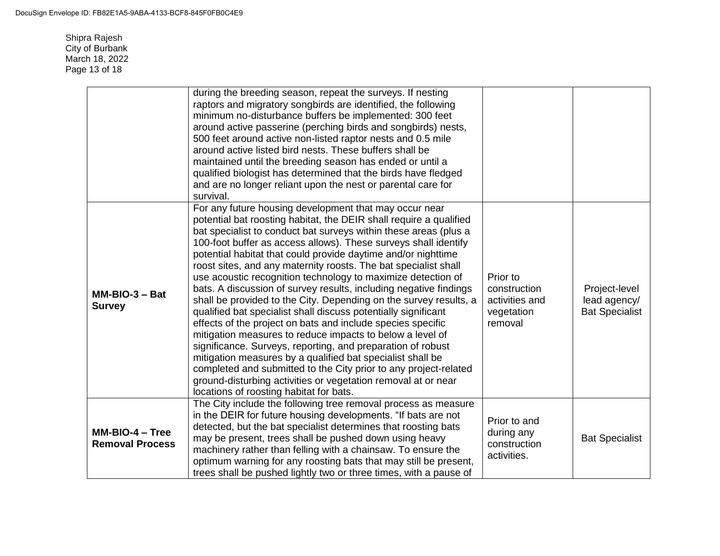Shipra Rajesh City of Burbank March 18, 2022 Page 13 of 18

|                                           | during the breeding season, repeat the surveys. If nesting<br>raptors and migratory songbirds are identified, the following<br>minimum no-disturbance buffers be implemented: 300 feet<br>around active passerine (perching birds and songbirds) nests,<br>500 feet around active non-listed raptor nests and 0.5 mile<br>around active listed bird nests. These buffers shall be<br>maintained until the breeding season has ended or until a<br>qualified biologist has determined that the birds have fledged<br>and are no longer reliant upon the nest or parental care for<br>survival.                                                                                                                                                                                                                                                                                                                                                                                                                                                                                                                                |                                                                     |                                                        |
|-------------------------------------------|------------------------------------------------------------------------------------------------------------------------------------------------------------------------------------------------------------------------------------------------------------------------------------------------------------------------------------------------------------------------------------------------------------------------------------------------------------------------------------------------------------------------------------------------------------------------------------------------------------------------------------------------------------------------------------------------------------------------------------------------------------------------------------------------------------------------------------------------------------------------------------------------------------------------------------------------------------------------------------------------------------------------------------------------------------------------------------------------------------------------------|---------------------------------------------------------------------|--------------------------------------------------------|
| $MM-BIO-3 - Bat$<br><b>Survey</b>         | For any future housing development that may occur near<br>potential bat roosting habitat, the DEIR shall require a qualified<br>bat specialist to conduct bat surveys within these areas (plus a<br>100-foot buffer as access allows). These surveys shall identify<br>potential habitat that could provide daytime and/or nighttime<br>roost sites, and any maternity roosts. The bat specialist shall<br>use acoustic recognition technology to maximize detection of<br>bats. A discussion of survey results, including negative findings<br>shall be provided to the City. Depending on the survey results, a<br>qualified bat specialist shall discuss potentially significant<br>effects of the project on bats and include species specific<br>mitigation measures to reduce impacts to below a level of<br>significance. Surveys, reporting, and preparation of robust<br>mitigation measures by a qualified bat specialist shall be<br>completed and submitted to the City prior to any project-related<br>ground-disturbing activities or vegetation removal at or near<br>locations of roosting habitat for bats. | Prior to<br>construction<br>activities and<br>vegetation<br>removal | Project-level<br>lead agency/<br><b>Bat Specialist</b> |
| MM-BIO-4 - Tree<br><b>Removal Process</b> | The City include the following tree removal process as measure<br>in the DEIR for future housing developments. "If bats are not<br>detected, but the bat specialist determines that roosting bats<br>may be present, trees shall be pushed down using heavy<br>machinery rather than felling with a chainsaw. To ensure the<br>optimum warning for any roosting bats that may still be present,<br>trees shall be pushed lightly two or three times, with a pause of                                                                                                                                                                                                                                                                                                                                                                                                                                                                                                                                                                                                                                                         | Prior to and<br>during any<br>construction<br>activities.           | <b>Bat Specialist</b>                                  |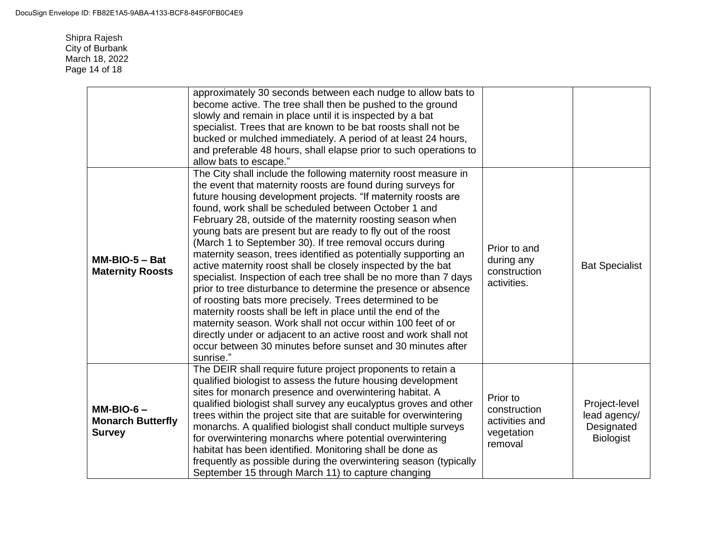Shipra Rajesh City of Burbank March 18, 2022 Page 14 of 18

|                                                          | approximately 30 seconds between each nudge to allow bats to<br>become active. The tree shall then be pushed to the ground<br>slowly and remain in place until it is inspected by a bat<br>specialist. Trees that are known to be bat roosts shall not be<br>bucked or mulched immediately. A period of at least 24 hours,<br>and preferable 48 hours, shall elapse prior to such operations to<br>allow bats to escape."                                                                                                                                                                                                                                                                                                                                                                                                                                                                                                                                                                                                                                              |                                                                     |                                                                 |
|----------------------------------------------------------|------------------------------------------------------------------------------------------------------------------------------------------------------------------------------------------------------------------------------------------------------------------------------------------------------------------------------------------------------------------------------------------------------------------------------------------------------------------------------------------------------------------------------------------------------------------------------------------------------------------------------------------------------------------------------------------------------------------------------------------------------------------------------------------------------------------------------------------------------------------------------------------------------------------------------------------------------------------------------------------------------------------------------------------------------------------------|---------------------------------------------------------------------|-----------------------------------------------------------------|
| $MM-BIO-5 - Bat$<br><b>Maternity Roosts</b>              | The City shall include the following maternity roost measure in<br>the event that maternity roosts are found during surveys for<br>future housing development projects. "If maternity roosts are<br>found, work shall be scheduled between October 1 and<br>February 28, outside of the maternity roosting season when<br>young bats are present but are ready to fly out of the roost<br>(March 1 to September 30). If tree removal occurs during<br>maternity season, trees identified as potentially supporting an<br>active maternity roost shall be closely inspected by the bat<br>specialist. Inspection of each tree shall be no more than 7 days<br>prior to tree disturbance to determine the presence or absence<br>of roosting bats more precisely. Trees determined to be<br>maternity roosts shall be left in place until the end of the<br>maternity season. Work shall not occur within 100 feet of or<br>directly under or adjacent to an active roost and work shall not<br>occur between 30 minutes before sunset and 30 minutes after<br>sunrise." | Prior to and<br>during any<br>construction<br>activities.           | <b>Bat Specialist</b>                                           |
| $MM-BIO-6-$<br><b>Monarch Butterfly</b><br><b>Survey</b> | The DEIR shall require future project proponents to retain a<br>qualified biologist to assess the future housing development<br>sites for monarch presence and overwintering habitat. A<br>qualified biologist shall survey any eucalyptus groves and other<br>trees within the project site that are suitable for overwintering<br>monarchs. A qualified biologist shall conduct multiple surveys<br>for overwintering monarchs where potential overwintering<br>habitat has been identified. Monitoring shall be done as<br>frequently as possible during the overwintering season (typically<br>September 15 through March 11) to capture changing                                                                                                                                                                                                                                                                                                                                                                                                                  | Prior to<br>construction<br>activities and<br>vegetation<br>removal | Project-level<br>lead agency/<br>Designated<br><b>Biologist</b> |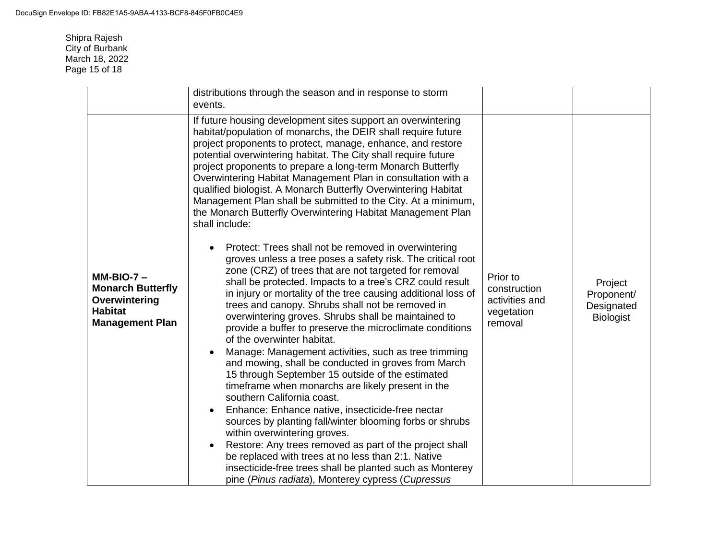Shipra Rajesh City of Burbank March 18, 2022 Page 15 of 18

|                                                                                                       | distributions through the season and in response to storm<br>events.                                                                                                                                                                                                                                                                                                                                                                                                                                                                                                                                                                                                                                                                                                                                                                                                                                                                                                                                                                                                                                                                                                                                                                                                                                                                                                                                                                                                                                                                                                                                                                                                                                                   |                                                                     |                                                         |
|-------------------------------------------------------------------------------------------------------|------------------------------------------------------------------------------------------------------------------------------------------------------------------------------------------------------------------------------------------------------------------------------------------------------------------------------------------------------------------------------------------------------------------------------------------------------------------------------------------------------------------------------------------------------------------------------------------------------------------------------------------------------------------------------------------------------------------------------------------------------------------------------------------------------------------------------------------------------------------------------------------------------------------------------------------------------------------------------------------------------------------------------------------------------------------------------------------------------------------------------------------------------------------------------------------------------------------------------------------------------------------------------------------------------------------------------------------------------------------------------------------------------------------------------------------------------------------------------------------------------------------------------------------------------------------------------------------------------------------------------------------------------------------------------------------------------------------------|---------------------------------------------------------------------|---------------------------------------------------------|
| $MM-BIO-7 -$<br><b>Monarch Butterfly</b><br>Overwintering<br><b>Habitat</b><br><b>Management Plan</b> | If future housing development sites support an overwintering<br>habitat/population of monarchs, the DEIR shall require future<br>project proponents to protect, manage, enhance, and restore<br>potential overwintering habitat. The City shall require future<br>project proponents to prepare a long-term Monarch Butterfly<br>Overwintering Habitat Management Plan in consultation with a<br>qualified biologist. A Monarch Butterfly Overwintering Habitat<br>Management Plan shall be submitted to the City. At a minimum,<br>the Monarch Butterfly Overwintering Habitat Management Plan<br>shall include:<br>Protect: Trees shall not be removed in overwintering<br>groves unless a tree poses a safety risk. The critical root<br>zone (CRZ) of trees that are not targeted for removal<br>shall be protected. Impacts to a tree's CRZ could result<br>in injury or mortality of the tree causing additional loss of<br>trees and canopy. Shrubs shall not be removed in<br>overwintering groves. Shrubs shall be maintained to<br>provide a buffer to preserve the microclimate conditions<br>of the overwinter habitat.<br>Manage: Management activities, such as tree trimming<br>and mowing, shall be conducted in groves from March<br>15 through September 15 outside of the estimated<br>timeframe when monarchs are likely present in the<br>southern California coast.<br>Enhance: Enhance native, insecticide-free nectar<br>sources by planting fall/winter blooming forbs or shrubs<br>within overwintering groves.<br>Restore: Any trees removed as part of the project shall<br>be replaced with trees at no less than 2:1. Native<br>insecticide-free trees shall be planted such as Monterey | Prior to<br>construction<br>activities and<br>vegetation<br>removal | Project<br>Proponent/<br>Designated<br><b>Biologist</b> |
|                                                                                                       | pine (Pinus radiata), Monterey cypress (Cupressus                                                                                                                                                                                                                                                                                                                                                                                                                                                                                                                                                                                                                                                                                                                                                                                                                                                                                                                                                                                                                                                                                                                                                                                                                                                                                                                                                                                                                                                                                                                                                                                                                                                                      |                                                                     |                                                         |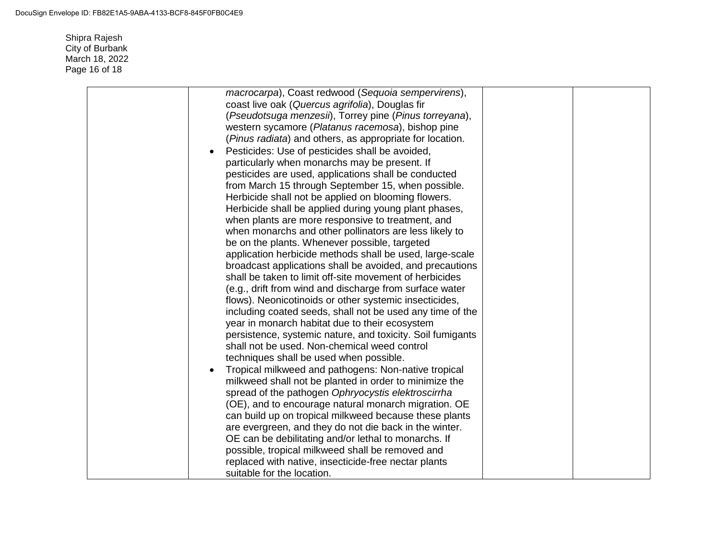Shipra Rajesh City of Burbank March 18, 2022 Page 16 of 18

| macrocarpa), Coast redwood (Sequoia sempervirens),         |  |
|------------------------------------------------------------|--|
| coast live oak (Quercus agrifolia), Douglas fir            |  |
| (Pseudotsuga menzesii), Torrey pine (Pinus torreyana),     |  |
| western sycamore (Platanus racemosa), bishop pine          |  |
| (Pinus radiata) and others, as appropriate for location.   |  |
| Pesticides: Use of pesticides shall be avoided,            |  |
| particularly when monarchs may be present. If              |  |
| pesticides are used, applications shall be conducted       |  |
| from March 15 through September 15, when possible.         |  |
| Herbicide shall not be applied on blooming flowers.        |  |
| Herbicide shall be applied during young plant phases,      |  |
| when plants are more responsive to treatment, and          |  |
| when monarchs and other pollinators are less likely to     |  |
| be on the plants. Whenever possible, targeted              |  |
| application herbicide methods shall be used, large-scale   |  |
| broadcast applications shall be avoided, and precautions   |  |
| shall be taken to limit off-site movement of herbicides    |  |
| (e.g., drift from wind and discharge from surface water    |  |
| flows). Neonicotinoids or other systemic insecticides,     |  |
| including coated seeds, shall not be used any time of the  |  |
| year in monarch habitat due to their ecosystem             |  |
| persistence, systemic nature, and toxicity. Soil fumigants |  |
| shall not be used. Non-chemical weed control               |  |
| techniques shall be used when possible.                    |  |
| Tropical milkweed and pathogens: Non-native tropical       |  |
| milkweed shall not be planted in order to minimize the     |  |
| spread of the pathogen Ophryocystis elektroscirrha         |  |
| (OE), and to encourage natural monarch migration. OE       |  |
| can build up on tropical milkweed because these plants     |  |
| are evergreen, and they do not die back in the winter.     |  |
| OE can be debilitating and/or lethal to monarchs. If       |  |
| possible, tropical milkweed shall be removed and           |  |
| replaced with native, insecticide-free nectar plants       |  |
| suitable for the location.                                 |  |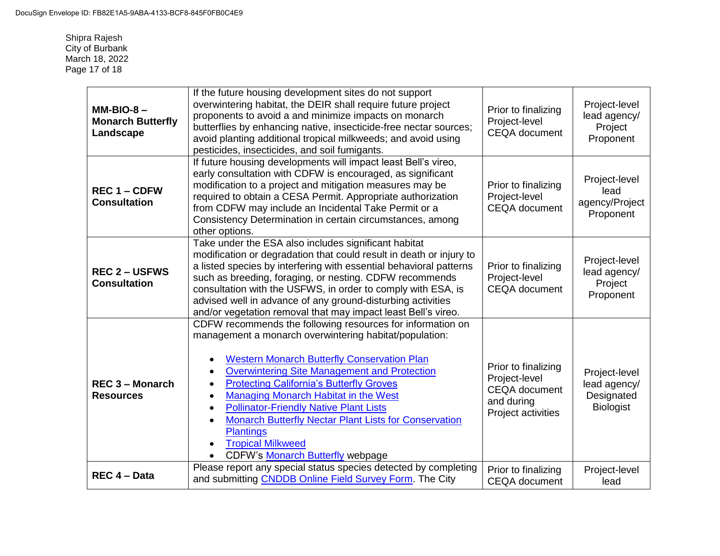Shipra Rajesh City of Burbank March 18, 2022 Page 17 of 18

| $MM-BIO-8-$<br><b>Monarch Butterfly</b><br>Landscape | If the future housing development sites do not support<br>overwintering habitat, the DEIR shall require future project<br>proponents to avoid a and minimize impacts on monarch<br>butterflies by enhancing native, insecticide-free nectar sources;<br>avoid planting additional tropical milkweeds; and avoid using<br>pesticides, insecticides, and soil fumigants.                                                                                                                                                                                                   | Prior to finalizing<br>Project-level<br><b>CEQA</b> document                                     | Project-level<br>lead agency/<br>Project<br>Proponent           |
|------------------------------------------------------|--------------------------------------------------------------------------------------------------------------------------------------------------------------------------------------------------------------------------------------------------------------------------------------------------------------------------------------------------------------------------------------------------------------------------------------------------------------------------------------------------------------------------------------------------------------------------|--------------------------------------------------------------------------------------------------|-----------------------------------------------------------------|
| <b>REC 1 – CDFW</b><br><b>Consultation</b>           | If future housing developments will impact least Bell's vireo,<br>early consultation with CDFW is encouraged, as significant<br>modification to a project and mitigation measures may be<br>required to obtain a CESA Permit. Appropriate authorization<br>from CDFW may include an Incidental Take Permit or a<br>Consistency Determination in certain circumstances, among<br>other options.                                                                                                                                                                           | Prior to finalizing<br>Project-level<br><b>CEQA</b> document                                     | Project-level<br>lead<br>agency/Project<br>Proponent            |
| <b>REC 2-USFWS</b><br><b>Consultation</b>            | Take under the ESA also includes significant habitat<br>modification or degradation that could result in death or injury to<br>a listed species by interfering with essential behavioral patterns<br>such as breeding, foraging, or nesting. CDFW recommends<br>consultation with the USFWS, in order to comply with ESA, is<br>advised well in advance of any ground-disturbing activities<br>and/or vegetation removal that may impact least Bell's vireo.                                                                                                             | Prior to finalizing<br>Project-level<br><b>CEQA</b> document                                     | Project-level<br>lead agency/<br>Project<br>Proponent           |
| <b>REC 3 - Monarch</b><br><b>Resources</b>           | CDFW recommends the following resources for information on<br>management a monarch overwintering habitat/population:<br><b>Western Monarch Butterfly Conservation Plan</b><br><b>Overwintering Site Management and Protection</b><br><b>Protecting California's Butterfly Groves</b><br>$\bullet$<br>Managing Monarch Habitat in the West<br><b>Pollinator-Friendly Native Plant Lists</b><br>$\bullet$<br><b>Monarch Butterfly Nectar Plant Lists for Conservation</b><br><b>Plantings</b><br><b>Tropical Milkweed</b><br>$\bullet$<br>CDFW's Monarch Butterfly webpage | Prior to finalizing<br>Project-level<br><b>CEQA</b> document<br>and during<br>Project activities | Project-level<br>lead agency/<br>Designated<br><b>Biologist</b> |
| REC 4 - Data                                         | Please report any special status species detected by completing<br>and submitting CNDDB Online Field Survey Form. The City                                                                                                                                                                                                                                                                                                                                                                                                                                               | Prior to finalizing<br><b>CEQA</b> document                                                      | Project-level<br>lead                                           |